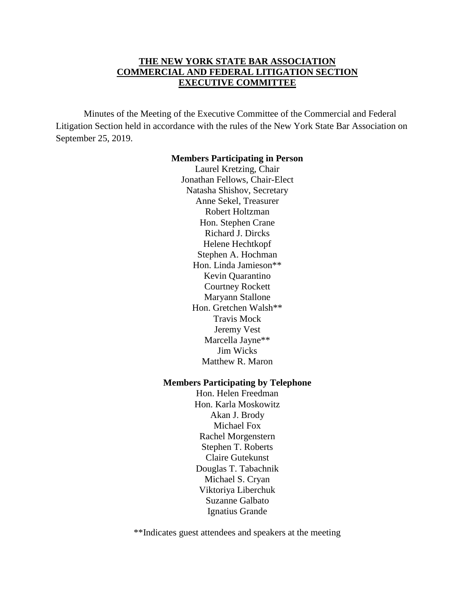### **THE NEW YORK STATE BAR ASSOCIATION COMMERCIAL AND FEDERAL LITIGATION SECTION EXECUTIVE COMMITTEE**

Minutes of the Meeting of the Executive Committee of the Commercial and Federal Litigation Section held in accordance with the rules of the New York State Bar Association on September 25, 2019.

#### **Members Participating in Person**

Laurel Kretzing, Chair Jonathan Fellows, Chair-Elect Natasha Shishov, Secretary Anne Sekel, Treasurer Robert Holtzman Hon. Stephen Crane Richard J. Dircks Helene Hechtkopf Stephen A. Hochman Hon. Linda Jamieson\*\* Kevin Quarantino Courtney Rockett Maryann Stallone Hon. Gretchen Walsh\*\* Travis Mock Jeremy Vest Marcella Jayne\*\* Jim Wicks Matthew R. Maron

#### **Members Participating by Telephone**

Hon. Helen Freedman Hon. Karla Moskowitz Akan J. Brody Michael Fox Rachel Morgenstern Stephen T. Roberts Claire Gutekunst Douglas T. Tabachnik Michael S. Cryan Viktoriya Liberchuk Suzanne Galbato Ignatius Grande

\*\*Indicates guest attendees and speakers at the meeting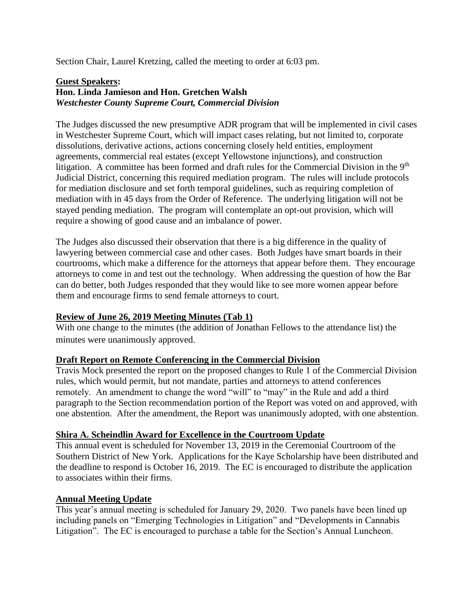Section Chair, Laurel Kretzing, called the meeting to order at 6:03 pm.

#### **Guest Speakers: Hon. Linda Jamieson and Hon. Gretchen Walsh**  *Westchester County Supreme Court, Commercial Division*

The Judges discussed the new presumptive ADR program that will be implemented in civil cases in Westchester Supreme Court, which will impact cases relating, but not limited to, corporate dissolutions, derivative actions, actions concerning closely held entities, employment agreements, commercial real estates (except Yellowstone injunctions), and construction litigation. A committee has been formed and draft rules for the Commercial Division in the 9<sup>th</sup> Judicial District, concerning this required mediation program. The rules will include protocols for mediation disclosure and set forth temporal guidelines, such as requiring completion of mediation with in 45 days from the Order of Reference. The underlying litigation will not be stayed pending mediation. The program will contemplate an opt-out provision, which will require a showing of good cause and an imbalance of power.

The Judges also discussed their observation that there is a big difference in the quality of lawyering between commercial case and other cases. Both Judges have smart boards in their courtrooms, which make a difference for the attorneys that appear before them. They encourage attorneys to come in and test out the technology. When addressing the question of how the Bar can do better, both Judges responded that they would like to see more women appear before them and encourage firms to send female attorneys to court.

## **Review of June 26, 2019 Meeting Minutes (Tab 1)**

With one change to the minutes (the addition of Jonathan Fellows to the attendance list) the minutes were unanimously approved.

### **Draft Report on Remote Conferencing in the Commercial Division**

Travis Mock presented the report on the proposed changes to Rule 1 of the Commercial Division rules, which would permit, but not mandate, parties and attorneys to attend conferences remotely. An amendment to change the word "will" to "may" in the Rule and add a third paragraph to the Section recommendation portion of the Report was voted on and approved, with one abstention. After the amendment, the Report was unanimously adopted, with one abstention.

### **Shira A. Scheindlin Award for Excellence in the Courtroom Update**

This annual event is scheduled for November 13, 2019 in the Ceremonial Courtroom of the Southern District of New York. Applications for the Kaye Scholarship have been distributed and the deadline to respond is October 16, 2019. The EC is encouraged to distribute the application to associates within their firms.

### **Annual Meeting Update**

This year's annual meeting is scheduled for January 29, 2020. Two panels have been lined up including panels on "Emerging Technologies in Litigation" and "Developments in Cannabis Litigation". The EC is encouraged to purchase a table for the Section's Annual Luncheon.